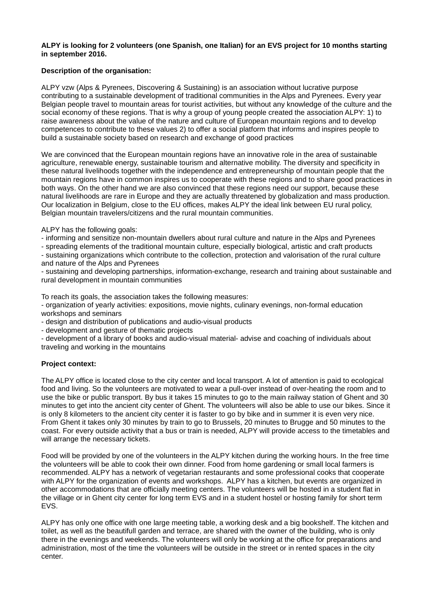### **ALPY is looking for 2 volunteers (one Spanish, one Italian) for an EVS project for 10 months starting in september 2016.**

# **Description of the organisation:**

ALPY vzw (Alps & Pyrenees, Discovering & Sustaining) is an association without lucrative purpose contributing to a sustainable development of traditional communities in the Alps and Pyrenees. Every year Belgian people travel to mountain areas for tourist activities, but without any knowledge of the culture and the social economy of these regions. That is why a group of young people created the association ALPY: 1) to raise awareness about the value of the nature and culture of European mountain regions and to develop competences to contribute to these values 2) to offer a social platform that informs and inspires people to build a sustainable society based on research and exchange of good practices

We are convinced that the European mountain regions have an innovative role in the area of sustainable agriculture, renewable energy, sustainable tourism and alternative mobility. The diversity and specificity in these natural livelihoods together with the independence and entrepreneurship of mountain people that the mountain regions have in common inspires us to cooperate with these regions and to share good practices in both ways. On the other hand we are also convinced that these regions need our support, because these natural livelihoods are rare in Europe and they are actually threatened by globalization and mass production. Our localization in Belgium, close to the EU offices, makes ALPY the ideal link between EU rural policy, Belgian mountain travelers/citizens and the rural mountain communities.

ALPY has the following goals:

- informing and sensitize non-mountain dwellers about rural culture and nature in the Alps and Pyrenees

- spreading elements of the traditional mountain culture, especially biological, artistic and craft products

- sustaining organizations which contribute to the collection, protection and valorisation of the rural culture and nature of the Alps and Pyrenees

- sustaining and developing partnerships, information-exchange, research and training about sustainable and rural development in mountain communities

To reach its goals, the association takes the following measures:

- organization of yearly activities: expositions, movie nights, culinary evenings, non-formal education workshops and seminars

- design and distribution of publications and audio-visual products

- development and gesture of thematic projects

- development of a library of books and audio-visual material- advise and coaching of individuals about traveling and working in the mountains

# **Project context:**

The ALPY office is located close to the city center and local transport. A lot of attention is paid to ecological food and living. So the volunteers are motivated to wear a pull-over instead of over-heating the room and to use the bike or public transport. By bus it takes 15 minutes to go to the main railway station of Ghent and 30 minutes to get into the ancient city center of Ghent. The volunteers will also be able to use our bikes. Since it is only 8 kilometers to the ancient city center it is faster to go by bike and in summer it is even very nice. From Ghent it takes only 30 minutes by train to go to Brussels, 20 minutes to Brugge and 50 minutes to the coast. For every outside activity that a bus or train is needed, ALPY will provide access to the timetables and will arrange the necessary tickets.

Food will be provided by one of the volunteers in the ALPY kitchen during the working hours. In the free time the volunteers will be able to cook their own dinner. Food from home gardening or small local farmers is recommended. ALPY has a network of vegetarian restaurants and some professional cooks that cooperate with ALPY for the organization of events and workshops. ALPY has a kitchen, but events are organized in other accommodations that are officially meeting centers. The volunteers will be hosted in a student flat in the village or in Ghent city center for long term EVS and in a student hostel or hosting family for short term EVS.

ALPY has only one office with one large meeting table, a working desk and a big bookshelf. The kitchen and toilet, as well as the beautifull garden and terrace, are shared with the owner of the building, who is only there in the evenings and weekends. The volunteers will only be working at the office for preparations and administration, most of the time the volunteers will be outside in the street or in rented spaces in the city center.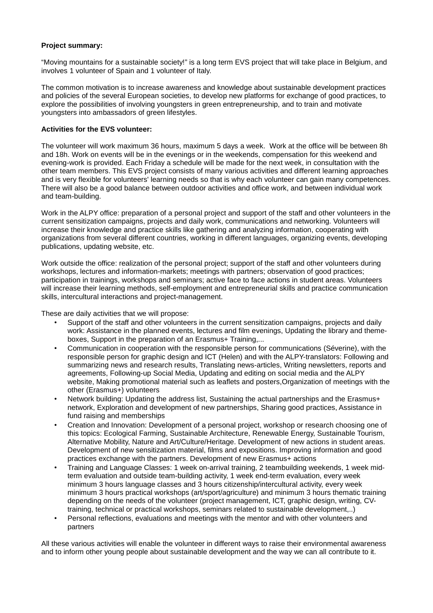### **Project summary:**

"Moving mountains for a sustainable society!" is a long term EVS project that will take place in Belgium, and involves 1 volunteer of Spain and 1 volunteer of Italy.

The common motivation is to increase awareness and knowledge about sustainable development practices and policies of the several European societies, to develop new platforms for exchange of good practices, to explore the possibilities of involving youngsters in green entrepreneurship, and to train and motivate youngsters into ambassadors of green lifestyles.

### **Activities for the EVS volunteer:**

The volunteer will work maximum 36 hours, maximum 5 days a week. Work at the office will be between 8h and 18h. Work on events will be in the evenings or in the weekends, compensation for this weekend and evening-work is provided. Each Friday a schedule will be made for the next week, in consultation with the other team members. This EVS project consists of many various activities and different learning approaches and is very flexible for volunteers' learning needs so that is why each volunteer can gain many competences. There will also be a good balance between outdoor activities and office work, and between individual work and team-building.

Work in the ALPY office: preparation of a personal project and support of the staff and other volunteers in the current sensitization campaigns, projects and daily work, communications and networking. Volunteers will increase their knowledge and practice skills like gathering and analyzing information, cooperating with organizations from several different countries, working in different languages, organizing events, developing publications, updating website, etc.

Work outside the office: realization of the personal project; support of the staff and other volunteers during workshops, lectures and information-markets; meetings with partners; observation of good practices; participation in trainings, workshops and seminars; active face to face actions in student areas. Volunteers will increase their learning methods, self-employment and entrepreneurial skills and practice communication skills, intercultural interactions and project-management.

These are daily activities that we will propose:

- Support of the staff and other volunteers in the current sensitization campaigns, projects and daily work: Assistance in the planned events, lectures and film evenings, Updating the library and themeboxes, Support in the preparation of an Erasmus+ Training,...
- Communication in cooperation with the responsible person for communications (Séverine), with the responsible person for graphic design and ICT (Helen) and with the ALPY-translators: Following and summarizing news and research results, Translating news-articles, Writing newsletters, reports and agreements, Following-up Social Media, Updating and editing on social media and the ALPY website, Making promotional material such as leaflets and posters,Organization of meetings with the other (Erasmus+) volunteers
- Network building: Updating the address list, Sustaining the actual partnerships and the Erasmus+ network, Exploration and development of new partnerships, Sharing good practices, Assistance in fund raising and memberships
- Creation and Innovation: Development of a personal project, workshop or research choosing one of this topics: Ecological Farming, Sustainable Architecture, Renewable Energy, Sustainable Tourism, Alternative Mobility, Nature and Art/Culture/Heritage. Development of new actions in student areas. Development of new sensitization material, films and expositions. Improving information and good practices exchange with the partners. Development of new Erasmus+ actions
- Training and Language Classes: 1 week on-arrival training, 2 teambuilding weekends, 1 week midterm evaluation and outside team-building activity, 1 week end-term evaluation, every week minimum 3 hours language classes and 3 hours citizenship/intercultural activity, every week minimum 3 hours practical workshops (art/sport/agriculture) and minimum 3 hours thematic training depending on the needs of the volunteer (project management, ICT, graphic design, writing, CVtraining, technical or practical workshops, seminars related to sustainable development,..)
- Personal reflections, evaluations and meetings with the mentor and with other volunteers and partners

All these various activities will enable the volunteer in different ways to raise their environmental awareness and to inform other young people about sustainable development and the way we can all contribute to it.